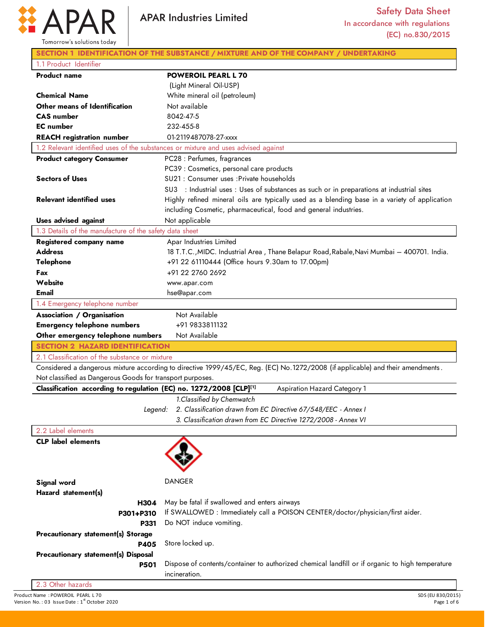

| Tomorrow's solutions today                                | <b>APAR Industries Limited</b>                                                                                                 | <b>Safety Data Sheet</b><br>In accordance with regulations<br>(EC) no.830/2015 |
|-----------------------------------------------------------|--------------------------------------------------------------------------------------------------------------------------------|--------------------------------------------------------------------------------|
|                                                           | SECTION 1 IDENTIFICATION OF THE SUBSTANCE / MIXTURE AND OF THE COMPANY / UNDERTAKING                                           |                                                                                |
| 1.1 Product Identifier                                    |                                                                                                                                |                                                                                |
| <b>Product name</b>                                       | <b>POWEROIL PEARL L 70</b>                                                                                                     |                                                                                |
|                                                           | (Light Mineral Oil-USP)                                                                                                        |                                                                                |
| <b>Chemical Name</b>                                      | White mineral oil (petroleum)                                                                                                  |                                                                                |
| Other means of Identification                             | Not available                                                                                                                  |                                                                                |
| <b>CAS</b> number                                         | 8042-47-5                                                                                                                      |                                                                                |
| <b>EC</b> number                                          | 232-455-8                                                                                                                      |                                                                                |
| <b>REACH</b> registration number                          | 01-2119487078-27-xxxx                                                                                                          |                                                                                |
|                                                           | 1.2 Relevant identified uses of the substances or mixture and uses advised against                                             |                                                                                |
| <b>Product category Consumer</b>                          | PC28 : Perfumes, fragrances                                                                                                    |                                                                                |
|                                                           | PC39 : Cosmetics, personal care products                                                                                       |                                                                                |
| <b>Sectors of Uses</b>                                    | SU21 : Consumer uses : Private households                                                                                      |                                                                                |
|                                                           | SU3 : Industrial uses : Uses of substances as such or in preparations at industrial sites                                      |                                                                                |
| <b>Relevant identified uses</b>                           | Highly refined mineral oils are typically used as a blending base in a variety of application                                  |                                                                                |
|                                                           | including Cosmetic, pharmaceutical, food and general industries.                                                               |                                                                                |
| <b>Uses advised against</b>                               | Not applicable                                                                                                                 |                                                                                |
| 1.3 Details of the manufacture of the safety data sheet   |                                                                                                                                |                                                                                |
| Registered company name                                   | Apar Industries Limited                                                                                                        |                                                                                |
| <b>Address</b>                                            | 18 T.T.C., MIDC. Industrial Area, Thane Belapur Road, Rabale, Navi Mumbai – 400701. India.                                     |                                                                                |
| <b>Telephone</b>                                          | +91 22 61110444 (Office hours 9.30am to 17.00pm)                                                                               |                                                                                |
| Fax                                                       | +91 22 2760 2692                                                                                                               |                                                                                |
| Website                                                   | www.apar.com                                                                                                                   |                                                                                |
| Email                                                     | hse@apar.com                                                                                                                   |                                                                                |
| 1.4 Emergency telephone number                            |                                                                                                                                |                                                                                |
| <b>Association / Organisation</b>                         | Not Available                                                                                                                  |                                                                                |
| <b>Emergency telephone numbers</b>                        | +91 9833811132                                                                                                                 |                                                                                |
| Other emergency telephone numbers                         | Not Available                                                                                                                  |                                                                                |
| <b>SECTION 2 HAZARD IDENTIFICATION</b>                    |                                                                                                                                |                                                                                |
| 2.1 Classification of the substance or mixture            |                                                                                                                                |                                                                                |
|                                                           | Considered a dangerous mixture according to directive 1999/45/EC, Reg. (EC) No.1272/2008 (if applicable) and their amendments. |                                                                                |
| Not classified as Dangerous Goods for transport purposes. |                                                                                                                                |                                                                                |
|                                                           | Classification according to regulation (EC) no. 1272/2008 [CLP][1]                                                             | Aspiration Hazard Category 1                                                   |
|                                                           | 1. Classified by Chemwatch<br>2. Classification drawn from EC Directive 67/548/EEC - Annex I<br>Legend:                        |                                                                                |
|                                                           | 3. Classification drawn from EC Directive 1272/2008 - Annex VI                                                                 |                                                                                |
| 2.2 Label elements                                        |                                                                                                                                |                                                                                |
| <b>CLP</b> label elements                                 |                                                                                                                                |                                                                                |
|                                                           |                                                                                                                                |                                                                                |
|                                                           |                                                                                                                                |                                                                                |
|                                                           |                                                                                                                                |                                                                                |
| Signal word                                               | <b>DANGER</b>                                                                                                                  |                                                                                |
| Hazard statement(s)                                       |                                                                                                                                |                                                                                |
|                                                           | May be fatal if swallowed and enters airways<br>H304                                                                           |                                                                                |

| P301+P310                                  | If SWALLOWED: Immediately call a POISON CENTER/doctor/physician/first aider.            |
|--------------------------------------------|-----------------------------------------------------------------------------------------|
|                                            | <b>P331</b> Do NOT induce vomiting.                                                     |
| <b>Precautionary statement(s) Storage</b>  |                                                                                         |
| <b>P405</b>                                | Store locked up.                                                                        |
| <b>Precautionary statement(s) Disposal</b> |                                                                                         |
| <b>P501</b>                                | Dispose of contents/container to authorized chemical landfill or if organic to high ter |
|                                            | in a                                                                                    |

ontainer to authorized chemical landfill or if organic to high temperature incineration.

2.3 Other hazards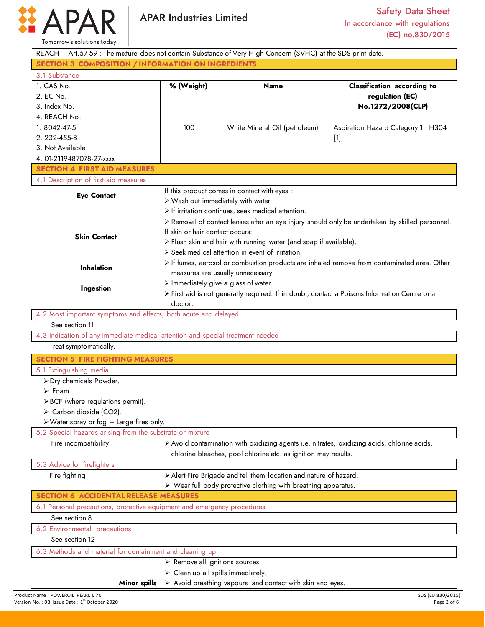

Product Name : POWEROIL PEARL L 70<br>
Product Name : POWEROIL PEARL L 70<br>
Version No. : 03 Issue Date : 1<sup>st</sup> October 2020 REACH – Art.57-59 : The mixture does not contain Substance of Very High Concern (SVHC) at the SDS print date. **SECTION 3 COMPOSITION / INFORMATION ON INGREDIENTS** 3.1 Substance 1. CAS No. 2. EC No. 3. Index No. 4. REACH No. **% (Weight) Name Classification according to regulation (EC) No.1272/2008(CLP)**  1. 8042-47-5 2. 232-455-8 3. Not Available 4. 01-2119487078-27-xxxx 100 White Mineral Oil (petroleum) Aspiration Hazard Category 1 : H304 [1] **SECTION 4 FIRST AID MEASURES** 4.1 Description of first aid measures **Eye Contact Skin Contact Inhalation Ingestion** If this product comes in contact with eyes : Wash out immediately with water  $\triangleright$  If irritation continues, seek medical attention. Removal of contact lenses after an eye injury should only be undertaken by skilled personnel. If skin or hair contact occurs:  $\triangleright$  Flush skin and hair with running water (and soap if available).  $\triangleright$  Seek medical attention in event of irritation. If fumes, aerosol or combustion products are inhaled remove from contaminated area. Other measures are usually unnecessary.  $\triangleright$  Immediately give a glass of water. First aid is not generally required. If in doubt, contact a Poisons Information Centre or a doctor. 4.2 Most important symptoms and effects, both acute and delayed See section 11 4.3 Indication of any immediate medical attention and special treatment needed Treat symptomatically. **SECTION 5 FIRE FIGHTING MEASURES** 5.1 Extinguishing media Dry chemicals Powder. Foam.  $\triangleright$  BCF (where regulations permit).  $\triangleright$  Carbon dioxide (CO2). Water spray or fog – Large fires only. 5.2 Special hazards arising from the substrate or mixture Fire incompatibility **Avoid contamination with oxidizing agents i.e. nitrates, oxidizing acids, chlorine acids,** chlorine bleaches, pool chlorine etc. as ignition may results. 5.3 Advice for firefighters Fire fighting  $\rightarrow$  Alert Fire Brigade and tell them location and nature of hazard. Wear full body protective clothing with breathing apparatus. **SECTION 6 ACCIDENTAL RELEASE MEASURES** 6.1 Personal precautions, protective equipment and emergency procedures See section 8 6.2 Environmental precautions See section 12 6.3 Methods and material for containment and cleaning up **Minor spills**  $\triangleright$  Remove all ignitions sources.  $\triangleright$  Clean up all spills immediately.  $\triangleright$  Avoid breathing vapours and contact with skin and eyes.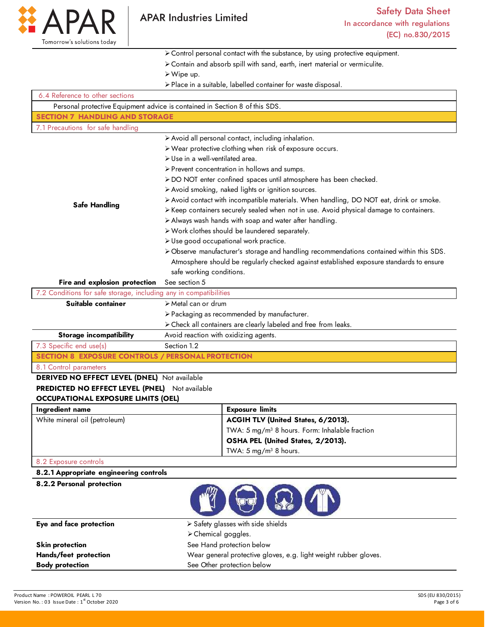

Control personal contact with the substance, by using protective equipment.

- Contain and absorb spill with sand, earth, inert material or vermiculite.
- Wipe up.
- Place in a suitable, labelled container for waste disposal.

| 6.4 Reference to other sections                                   |                                                                                          |  |  |
|-------------------------------------------------------------------|------------------------------------------------------------------------------------------|--|--|
|                                                                   | Personal protective Equipment advice is contained in Section 8 of this SDS.              |  |  |
| <b>SECTION 7 HANDLING AND STORAGE</b>                             |                                                                                          |  |  |
| 7.1 Precautions for safe handling                                 |                                                                                          |  |  |
|                                                                   | > Avoid all personal contact, including inhalation.                                      |  |  |
|                                                                   | > Wear protective clothing when risk of exposure occurs.                                 |  |  |
|                                                                   | > Use in a well-ventilated area.                                                         |  |  |
|                                                                   | > Prevent concentration in hollows and sumps.                                            |  |  |
|                                                                   | > DO NOT enter confined spaces until atmosphere has been checked.                        |  |  |
|                                                                   | > Avoid smoking, naked lights or ignition sources.                                       |  |  |
|                                                                   | > Avoid contact with incompatible materials. When handling, DO NOT eat, drink or smoke.  |  |  |
| <b>Safe Handling</b>                                              | > Keep containers securely sealed when not in use. Avoid physical damage to containers.  |  |  |
|                                                                   | > Always wash hands with soap and water after handling.                                  |  |  |
|                                                                   | > Work clothes should be laundered separately.                                           |  |  |
|                                                                   | > Use good occupational work practice.                                                   |  |  |
|                                                                   | > Observe manufacturer's storage and handling recommendations contained within this SDS. |  |  |
|                                                                   | Atmosphere should be regularly checked against established exposure standards to ensure  |  |  |
|                                                                   | safe working conditions.                                                                 |  |  |
| Fire and explosion protection                                     | See section 5                                                                            |  |  |
| 7.2 Conditions for safe storage, including any in compatibilities |                                                                                          |  |  |
| Suitable container                                                | $\triangleright$ Metal can or drum                                                       |  |  |
|                                                                   | > Packaging as recommended by manufacturer.                                              |  |  |
|                                                                   | > Check all containers are clearly labeled and free from leaks.                          |  |  |
| <b>Storage incompatibility</b>                                    | Avoid reaction with oxidizing agents.                                                    |  |  |
| 7.3 Specific end use(s)                                           | Section 1.2                                                                              |  |  |
|                                                                   | <b>SECTION 8 EXPOSURE CONTROLS / PERSONAL PROTECTION</b>                                 |  |  |
| 8.1 Control parameters                                            |                                                                                          |  |  |
| DERIVED NO EFFECT LEVEL (DNEL) Not available                      |                                                                                          |  |  |
| <b>PREDICTED NO EFFECT LEVEL (PNEL)</b> Not available             |                                                                                          |  |  |
| <b>OCCUPATIONAL EXPOSURE LIMITS (OEL)</b>                         |                                                                                          |  |  |
| Ingredient name                                                   | <b>Exposure limits</b>                                                                   |  |  |
| White mineral oil (petroleum)                                     | ACGIH TLV (United States, 6/2013).                                                       |  |  |
|                                                                   | TWA: 5 mg/m <sup>3</sup> 8 hours. Form: Inhalable fraction                               |  |  |
|                                                                   | OSHA PEL (United States, 2/2013).                                                        |  |  |
|                                                                   | TWA: $5 \text{ mg/m}^3$ 8 hours.                                                         |  |  |
| 8.2 Exposure controls                                             |                                                                                          |  |  |
| 8.2.1 Appropriate engineering controls                            |                                                                                          |  |  |
| 8.2.2 Personal protection                                         |                                                                                          |  |  |
|                                                                   | <b>MOOM</b>                                                                              |  |  |

| Eye and face protection | $\triangleright$ Safety glasses with side shields                |  |
|-------------------------|------------------------------------------------------------------|--|
|                         | $\triangleright$ Chemical goggles.                               |  |
| Skin protection         | See Hand protection below                                        |  |
| Hands/feet protection   | Wear general protective gloves, e.g. light weight rubber gloves. |  |
| <b>Body protection</b>  | See Other protection below                                       |  |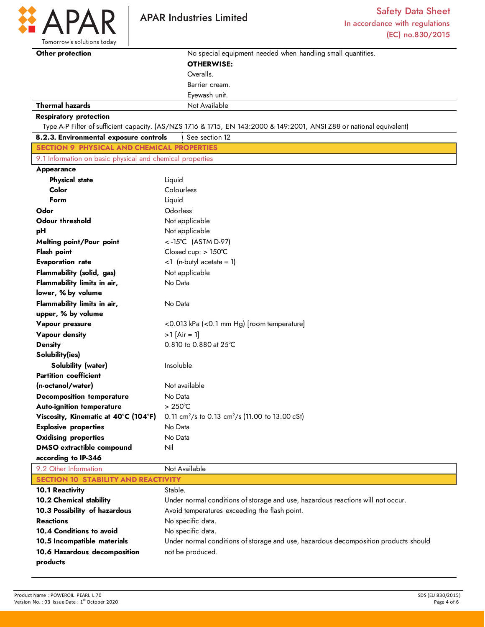

D

Tomorrow's solutions today

| Other protection                                          | No special equipment needed when handling small quantities.                                                           |  |
|-----------------------------------------------------------|-----------------------------------------------------------------------------------------------------------------------|--|
|                                                           | <b>OTHERWISE:</b>                                                                                                     |  |
|                                                           | Overalls.                                                                                                             |  |
|                                                           | Barrier cream.                                                                                                        |  |
|                                                           | Eyewash unit.                                                                                                         |  |
| <b>Thermal hazards</b>                                    | Not Available                                                                                                         |  |
| <b>Respiratory protection</b>                             |                                                                                                                       |  |
|                                                           | Type A-P Filter of sufficient capacity. (AS/NZS 1716 & 1715, EN 143:2000 & 149:2001, ANSI Z88 or national equivalent) |  |
| 8.2.3. Environmental exposure controls                    | See section 12                                                                                                        |  |
| <b>SECTION 9 PHYSICAL AND CHEMICAL PROPERTIES</b>         |                                                                                                                       |  |
| 9.1 Information on basic physical and chemical properties |                                                                                                                       |  |
| <b>Appearance</b>                                         |                                                                                                                       |  |
| <b>Physical state</b>                                     | Liquid                                                                                                                |  |
| Color                                                     | Colourless                                                                                                            |  |
| Form                                                      | Liquid                                                                                                                |  |
| Odor                                                      | Odorless                                                                                                              |  |
| <b>Odour threshold</b>                                    | Not applicable                                                                                                        |  |
| рH                                                        | Not applicable                                                                                                        |  |
| <b>Melting point/Pour point</b>                           | <-15°C (ASTM D-97)                                                                                                    |  |
| <b>Flash point</b>                                        | Closed cup: > 150°C                                                                                                   |  |
| <b>Evaporation rate</b>                                   | $<$ 1 (n-butyl acetate = 1)                                                                                           |  |
| <b>Flammability (solid, gas)</b>                          | Not applicable                                                                                                        |  |
| Flammability limits in air,                               | No Data                                                                                                               |  |
| lower, % by volume                                        |                                                                                                                       |  |
| Flammability limits in air,                               | No Data                                                                                                               |  |
| upper, % by volume                                        |                                                                                                                       |  |
| Vapour pressure                                           | <0.013 kPa (<0.1 mm Hg) [room temperature]                                                                            |  |
| Vapour density                                            | $>1$ [Air = 1]                                                                                                        |  |
| <b>Density</b>                                            | 0.810 to 0.880 at 25°C                                                                                                |  |
| Solubility(ies)                                           |                                                                                                                       |  |
| <b>Solubility (water)</b>                                 | Insoluble                                                                                                             |  |
| <b>Partition coefficient</b>                              |                                                                                                                       |  |
| (n-octanol/water)                                         | Not available                                                                                                         |  |
| <b>Decomposition temperature</b>                          | No Data                                                                                                               |  |
| <b>Auto-ignition temperature</b>                          | $>250^{\circ}$ C                                                                                                      |  |
| Viscosity, Kinematic at 40°C (104°F)                      | 0.11 cm <sup>2</sup> /s to 0.13 cm <sup>2</sup> /s (11.00 to 13.00 cSt)                                               |  |
| <b>Explosive properties</b>                               | No Data                                                                                                               |  |
| <b>Oxidising properties</b>                               | No Data                                                                                                               |  |
| <b>DMSO</b> extractible compound                          | Nil                                                                                                                   |  |
| according to IP-346                                       |                                                                                                                       |  |
| 9.2 Other Information                                     | Not Available                                                                                                         |  |

| $7.2$ UNICH INDITIONS                      | $1101$ Available                                                                    |  |
|--------------------------------------------|-------------------------------------------------------------------------------------|--|
| <b>SECTION 10 STABILITY AND REACTIVITY</b> |                                                                                     |  |
| <b>10.1 Reactivity</b>                     | Stable.                                                                             |  |
| <b>10.2 Chemical stability</b>             | Under normal conditions of storage and use, hazardous reactions will not occur.     |  |
| 10.3 Possibility of hazardous              | Avoid temperatures exceeding the flash point.                                       |  |
| <b>Reactions</b>                           | No specific data.                                                                   |  |
| 10.4 Conditions to avoid                   | No specific data.                                                                   |  |
| 10.5 Incompatible materials                | Under normal conditions of storage and use, hazardous decomposition products should |  |
| 10.6 Hazardous decomposition               | not be produced.                                                                    |  |
| products                                   |                                                                                     |  |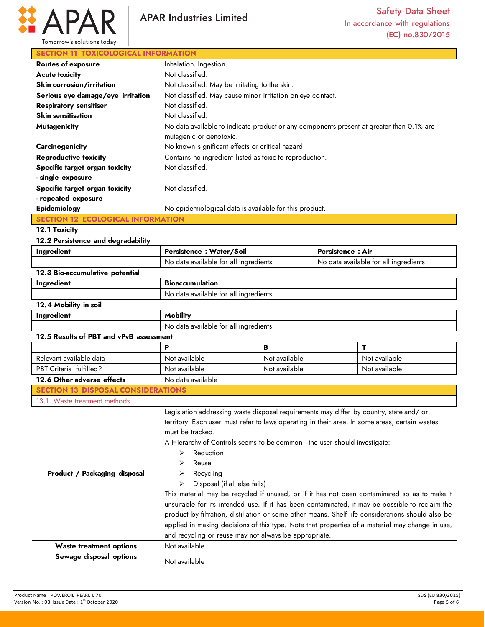

# **SECTION 11 TOXICOLOGICAL INFORMATION**

| <b>Routes of exposure</b>         | Inhalation. Ingestion.                                                                                              |  |
|-----------------------------------|---------------------------------------------------------------------------------------------------------------------|--|
| <b>Acute toxicity</b>             | Not classified.                                                                                                     |  |
| Skin corrosion/irritation         | Not classified. May be irritating to the skin.                                                                      |  |
| Serious eye damage/eye irritation | Not classified. May cause minor irritation on eye contact.                                                          |  |
| <b>Respiratory sensitiser</b>     | Not classified.                                                                                                     |  |
| <b>Skin sensitisation</b>         | Not classified.                                                                                                     |  |
| <b>Mutagenicity</b>               | No data available to indicate product or any components present at greater than 0.1% are<br>mutagenic or genotoxic. |  |
| Carcinogenicity                   | No known significant effects or critical hazard                                                                     |  |
| <b>Reproductive toxicity</b>      | Contains no ingredient listed as toxic to reproduction.                                                             |  |
| Specific target organ toxicity    | Not classified.                                                                                                     |  |
| - single exposure                 |                                                                                                                     |  |
| Specific target organ toxicity    | Not classified.                                                                                                     |  |
| - repeated exposure               |                                                                                                                     |  |
| Epidemiology                      | No epidemiological data is available for this product.                                                              |  |
|                                   |                                                                                                                     |  |

### **12.1 Toxicity**

#### **12.2 Persistence and degradability**

| Ingredient                                | Persistence: Water/Soil                                                                                                                                                                                                                                                                                                                                                                                                                                                                                                                                                                                                                                                                                                                                                                                                                          |               | <b>Persistence: Air</b>               |               |
|-------------------------------------------|--------------------------------------------------------------------------------------------------------------------------------------------------------------------------------------------------------------------------------------------------------------------------------------------------------------------------------------------------------------------------------------------------------------------------------------------------------------------------------------------------------------------------------------------------------------------------------------------------------------------------------------------------------------------------------------------------------------------------------------------------------------------------------------------------------------------------------------------------|---------------|---------------------------------------|---------------|
|                                           | No data available for all ingredients                                                                                                                                                                                                                                                                                                                                                                                                                                                                                                                                                                                                                                                                                                                                                                                                            |               | No data available for all ingredients |               |
| 12.3 Bio-accumulative potential           |                                                                                                                                                                                                                                                                                                                                                                                                                                                                                                                                                                                                                                                                                                                                                                                                                                                  |               |                                       |               |
| Ingredient                                | <b>Bioaccumulation</b>                                                                                                                                                                                                                                                                                                                                                                                                                                                                                                                                                                                                                                                                                                                                                                                                                           |               |                                       |               |
|                                           | No data available for all ingredients                                                                                                                                                                                                                                                                                                                                                                                                                                                                                                                                                                                                                                                                                                                                                                                                            |               |                                       |               |
| 12.4 Mobility in soil                     |                                                                                                                                                                                                                                                                                                                                                                                                                                                                                                                                                                                                                                                                                                                                                                                                                                                  |               |                                       |               |
| Ingredient                                | <b>Mobility</b>                                                                                                                                                                                                                                                                                                                                                                                                                                                                                                                                                                                                                                                                                                                                                                                                                                  |               |                                       |               |
|                                           | No data available for all ingredients                                                                                                                                                                                                                                                                                                                                                                                                                                                                                                                                                                                                                                                                                                                                                                                                            |               |                                       |               |
| 12.5 Results of PBT and vPvB assessment   |                                                                                                                                                                                                                                                                                                                                                                                                                                                                                                                                                                                                                                                                                                                                                                                                                                                  |               |                                       |               |
|                                           | P                                                                                                                                                                                                                                                                                                                                                                                                                                                                                                                                                                                                                                                                                                                                                                                                                                                | B             |                                       | т             |
| Relevant available data                   | Not available                                                                                                                                                                                                                                                                                                                                                                                                                                                                                                                                                                                                                                                                                                                                                                                                                                    | Not available |                                       | Not available |
| PBT Criteria fulfilled?                   | Not available                                                                                                                                                                                                                                                                                                                                                                                                                                                                                                                                                                                                                                                                                                                                                                                                                                    | Not available |                                       | Not available |
| 12.6 Other adverse effects                | No data available                                                                                                                                                                                                                                                                                                                                                                                                                                                                                                                                                                                                                                                                                                                                                                                                                                |               |                                       |               |
| <b>SECTION 13 DISPOSAL CONSIDERATIONS</b> |                                                                                                                                                                                                                                                                                                                                                                                                                                                                                                                                                                                                                                                                                                                                                                                                                                                  |               |                                       |               |
| 13.1 Waste treatment methods              |                                                                                                                                                                                                                                                                                                                                                                                                                                                                                                                                                                                                                                                                                                                                                                                                                                                  |               |                                       |               |
| Product / Packaging disposal              | Legislation addressing waste disposal requirements may differ by country, state and/ or<br>territory. Each user must refer to laws operating in their area. In some areas, certain wastes<br>must be tracked.<br>A Hierarchy of Controls seems to be common - the user should investigate:<br>Reduction<br>⋗<br>Reuse<br>Recycling<br>➤<br>Disposal (if all else fails)<br>↘<br>This material may be recycled if unused, or if it has not been contaminated so as to make it<br>unsuitable for its intended use. If it has been contaminated, it may be possible to reclaim the<br>product by filtration, distillation or some other means. Shelf life considerations should also be<br>applied in making decisions of this type. Note that properties of a material may change in use,<br>and recycling or reuse may not always be appropriate. |               |                                       |               |
| <b>Waste treatment options</b>            | Not available                                                                                                                                                                                                                                                                                                                                                                                                                                                                                                                                                                                                                                                                                                                                                                                                                                    |               |                                       |               |
| Sewage disposal options                   | Not available                                                                                                                                                                                                                                                                                                                                                                                                                                                                                                                                                                                                                                                                                                                                                                                                                                    |               |                                       |               |